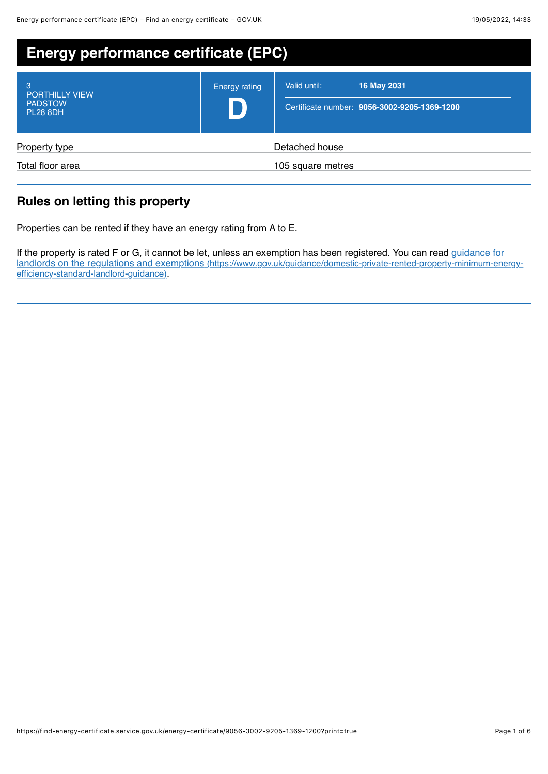| <b>Energy performance certificate (EPC)</b>                     |               |                                                                             |
|-----------------------------------------------------------------|---------------|-----------------------------------------------------------------------------|
| 3<br><b>PORTHILLY VIEW</b><br><b>PADSTOW</b><br><b>PL28 8DH</b> | Energy rating | Valid until:<br>16 May 2031<br>Certificate number: 9056-3002-9205-1369-1200 |
| Property type<br>Total floor area                               |               | Detached house<br>105 square metres                                         |

# **Rules on letting this property**

Properties can be rented if they have an energy rating from A to E.

If the property is rated F or G, it cannot be let, unless an exemption has been registered. You can read guidance for [landlords on the regulations and exemptions \(https://www.gov.uk/guidance/domestic-private-rented-property-minimum-energy](https://www.gov.uk/guidance/domestic-private-rented-property-minimum-energy-efficiency-standard-landlord-guidance)efficiency-standard-landlord-guidance).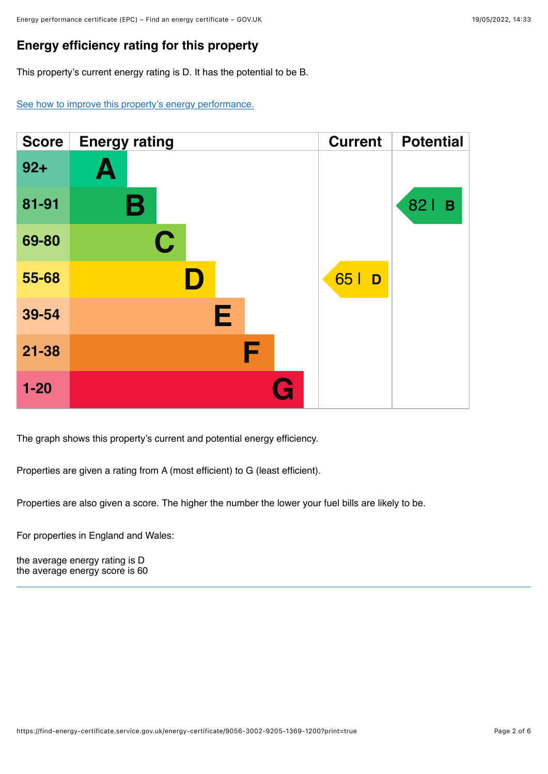## **Energy efficiency rating for this property**

This property's current energy rating is D. It has the potential to be B.

[See how to improve this property's energy performance.](#page-3-0)



The graph shows this property's current and potential energy efficiency.

Properties are given a rating from A (most efficient) to G (least efficient).

Properties are also given a score. The higher the number the lower your fuel bills are likely to be.

For properties in England and Wales:

the average energy rating is D the average energy score is 60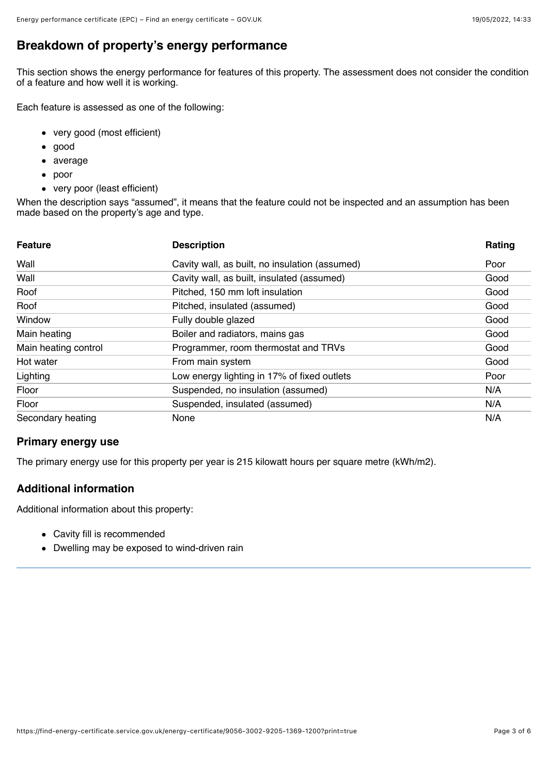## **Breakdown of property's energy performance**

This section shows the energy performance for features of this property. The assessment does not consider the condition of a feature and how well it is working.

Each feature is assessed as one of the following:

- very good (most efficient)
- good  $\bullet$
- average  $\bullet$
- poor
- very poor (least efficient)

When the description says "assumed", it means that the feature could not be inspected and an assumption has been made based on the property's age and type.

| <b>Feature</b>       | <b>Description</b>                             | Rating |
|----------------------|------------------------------------------------|--------|
| Wall                 | Cavity wall, as built, no insulation (assumed) | Poor   |
| Wall                 | Cavity wall, as built, insulated (assumed)     | Good   |
| Roof                 | Pitched, 150 mm loft insulation                | Good   |
| Roof                 | Pitched, insulated (assumed)                   | Good   |
| Window               | Fully double glazed                            | Good   |
| Main heating         | Boiler and radiators, mains gas                | Good   |
| Main heating control | Programmer, room thermostat and TRVs           | Good   |
| Hot water            | From main system                               | Good   |
| Lighting             | Low energy lighting in 17% of fixed outlets    | Poor   |
| Floor                | Suspended, no insulation (assumed)             | N/A    |
| Floor                | Suspended, insulated (assumed)                 | N/A    |
| Secondary heating    | None                                           | N/A    |

#### **Primary energy use**

The primary energy use for this property per year is 215 kilowatt hours per square metre (kWh/m2).

### **Additional information**

Additional information about this property:

- Cavity fill is recommended
- Dwelling may be exposed to wind-driven rain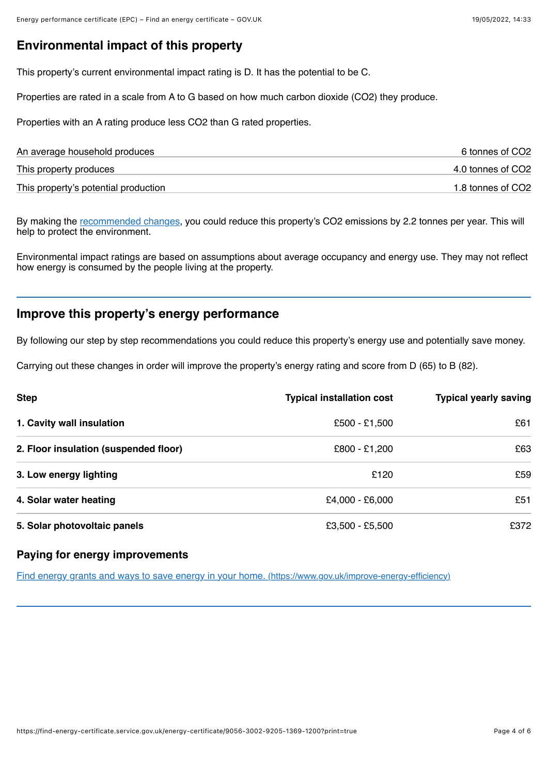### **Environmental impact of this property**

This property's current environmental impact rating is D. It has the potential to be C.

Properties are rated in a scale from A to G based on how much carbon dioxide (CO2) they produce.

Properties with an A rating produce less CO2 than G rated properties.

| An average household produces        | 6 tonnes of CO2   |
|--------------------------------------|-------------------|
| This property produces               | 4.0 tonnes of CO2 |
| This property's potential production | 1.8 tonnes of CO2 |

By making the [recommended changes](#page-3-0), you could reduce this property's CO2 emissions by 2.2 tonnes per year. This will help to protect the environment.

Environmental impact ratings are based on assumptions about average occupancy and energy use. They may not reflect how energy is consumed by the people living at the property.

### <span id="page-3-0"></span>**Improve this property's energy performance**

By following our step by step recommendations you could reduce this property's energy use and potentially save money.

Carrying out these changes in order will improve the property's energy rating and score from D (65) to B (82).

| <b>Step</b>                           | <b>Typical installation cost</b> | <b>Typical yearly saving</b> |
|---------------------------------------|----------------------------------|------------------------------|
| 1. Cavity wall insulation             | £500 - £1,500                    | £61                          |
| 2. Floor insulation (suspended floor) | £800 - £1,200                    | £63                          |
| 3. Low energy lighting                | £120                             | £59                          |
| 4. Solar water heating                | £4,000 - £6,000                  | £51                          |
| 5. Solar photovoltaic panels          | £3,500 - £5,500                  | £372                         |

#### **Paying for energy improvements**

[Find energy grants and ways to save energy in your home. \(https://www.gov.uk/improve-energy-efficiency\)](https://www.gov.uk/improve-energy-efficiency)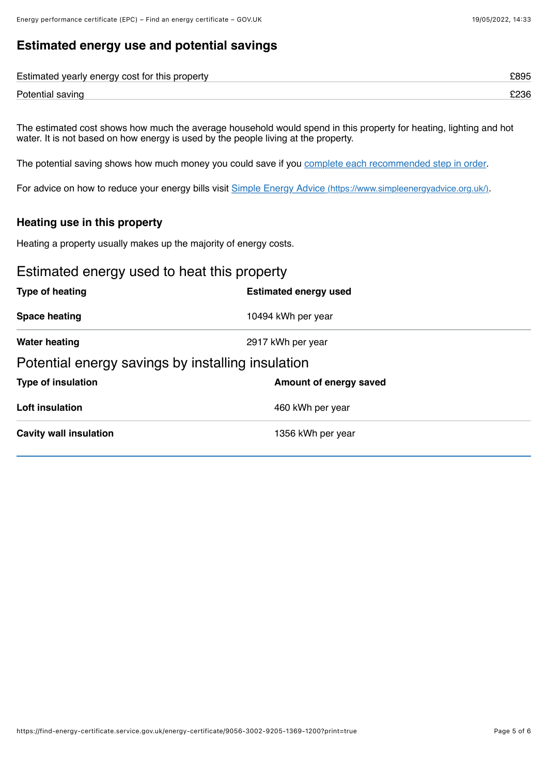# **Estimated energy use and potential savings**

| Estimated yearly energy cost for this property |  |
|------------------------------------------------|--|
| Potential saving                               |  |

The estimated cost shows how much the average household would spend in this property for heating, lighting and hot water. It is not based on how energy is used by the people living at the property.

The potential saving shows how much money you could save if you [complete each recommended step in order.](#page-3-0)

For advice on how to reduce your energy bills visit [Simple Energy Advice \(https://www.simpleenergyadvice.org.uk/\)](https://www.simpleenergyadvice.org.uk/).

#### **Heating use in this property**

Heating a property usually makes up the majority of energy costs.

### Estimated energy used to heat this property

| Type of heating                                   | <b>Estimated energy used</b> |  |
|---------------------------------------------------|------------------------------|--|
| <b>Space heating</b>                              | 10494 kWh per year           |  |
| <b>Water heating</b>                              | 2917 kWh per year            |  |
| Potential energy savings by installing insulation |                              |  |
| <b>Type of insulation</b>                         | Amount of energy saved       |  |
| <b>Loft insulation</b>                            | 460 kWh per year             |  |
| <b>Cavity wall insulation</b>                     | 1356 kWh per year            |  |